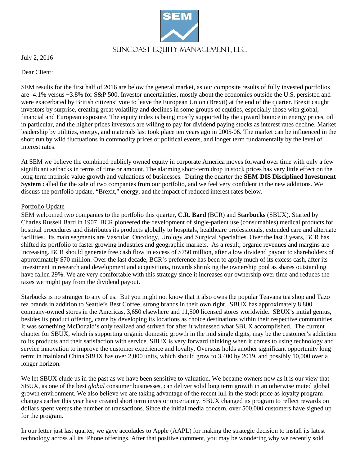

July 2, 2016

Dear Client:

SEM results for the first half of 2016 are below the general market, as our composite results of fully invested portfolios are -4.1% versus +3.8% for S&P 500. Investor uncertainties, mostly about the economies outside the U.S, persisted and were exacerbated by British citizens' vote to leave the European Union (Brexit) at the end of the quarter. Brexit caught investors by surprise, creating great volatility and declines in some groups of equities, especially those with global, financial and European exposure. The equity index is being mostly supported by the upward bounce in energy prices, oil in particular, and the higher prices investors are willing to pay for dividend paying stocks as interest rates decline. Market leadership by utilities, energy, and materials last took place ten years ago in 2005-06. The market can be influenced in the short run by wild fluctuations in commodity prices or political events, and longer term fundamentally by the level of interest rates.

At SEM we believe the combined publicly owned equity in corporate America moves forward over time with only a few significant setbacks in terms of time or amount. The alarming short-term drop in stock prices has very little effect on the long-term intrinsic value growth and valuations of businesses. During the quarter the **SEM-DIS Disciplined Investment System** called for the sale of two companies from our portfolio, and we feel very confident in the new additions. We discuss the portfolio update, "Brexit," energy, and the impact of reduced interest rates below.

## Portfolio Update

SEM welcomed two companies to the portfolio this quarter, **C.R. Bard** (BCR) and **Starbucks** (SBUX). Started by Charles Russell Bard in 1907, BCR pioneered the development of single-patient use (consumables) medical products for hospital procedures and distributes its products globally to hospitals, healthcare professionals, extended care and alternate facilities. Its main segments are Vascular, Oncology, Urology and Surgical Specialties. Over the last 3 years, BCR has shifted its portfolio to faster growing industries and geographic markets. As a result, organic revenues and margins are increasing. BCR should generate free cash flow in excess of \$750 million, after a low dividend payout to shareholders of approximately \$70 million. Over the last decade, BCR's preference has been to apply much of its excess cash, after its investment in research and development and acquisitions, towards shrinking the ownership pool as shares outstanding have fallen 29%. We are very comfortable with this strategy since it increases our ownership over time and reduces the taxes we might pay from the dividend payout.

Starbucks is no stranger to any of us. But you might not know that it also owns the popular Teavana tea shop and Tazo tea brands in addition to Seattle's Best Coffee, strong brands in their own right. SBUX has approximately 8,800 company-owned stores in the Americas, 3,650 elsewhere and 11,500 licensed stores worldwide. SBUX's initial genius, besides its product offering, came by developing its locations as choice destinations within their respective communities. It was something McDonald's only realized and strived for after it witnessed what SBUX accomplished. The current chapter for SBUX, which is supporting organic domestic growth in the mid single digits, may be the customer's addiction to its products and their satisfaction with service. SBUX is very forward thinking when it comes to using technology and service innovation to improve the customer experience and loyalty. Overseas holds another significant opportunity long term; in mainland China SBUX has over 2,000 units, which should grow to 3,400 by 2019, and possibly 10,000 over a longer horizon.

We let SBUX elude us in the past as we have been sensitive to valuation. We became owners now as it is our view that SBUX, as one of the best *global* consumer businesses, can deliver solid long term growth in an otherwise muted global growth environment. We also believe we are taking advantage of the recent lull in the stock price as loyalty program changes earlier this year have created short term investor uncertainty. SBUX changed its program to reflect rewards on dollars spent versus the number of transactions. Since the initial media concern, over 500,000 customers have signed up for the program.

In our letter just last quarter, we gave accolades to Apple (AAPL) for making the strategic decision to install its latest technology across all its iPhone offerings. After that positive comment, you may be wondering why we recently sold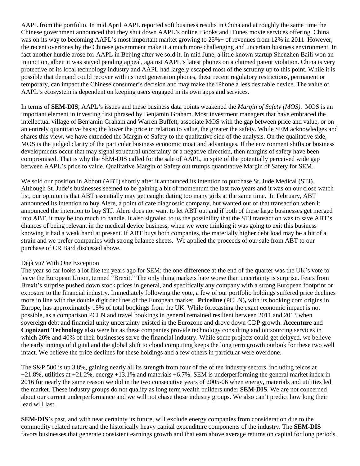AAPL from the portfolio. In mid April AAPL reported soft business results in China and at roughly the same time the Chinese government announced that they shut down AAPL's online iBooks and iTunes movie services offering. China was on its way to becoming AAPL's most important market growing to 25%+ of revenues from 12% in 2011. However, the recent overtones by the Chinese government make it a much more challenging and uncertain business environment. In fact another hurdle arose for AAPL in Beijing after we sold it. In mid June, a little known startup Shenzhen Baili won an injunction, albeit it was stayed pending appeal, against AAPL's latest phones on a claimed patent violation. China is very protective of its local technology industry and AAPL had largely escaped most of the scrutiny up to this point. While it is possible that demand could recover with its next generation phones, these recent regulatory restrictions, permanent or temporary, can impact the Chinese consumer's decision and may make the iPhone a less desirable device. The value of AAPL's ecosystem is dependent on keeping users engaged in its own apps and services.

In terms of **SEM-DIS**, AAPL's issues and these business data points weakened the *Margin of Safety (MOS)*. MOS is an important element in investing first phrased by Benjamin Graham. Most investment managers that have embraced the intellectual village of Benjamin Graham and Warren Buffett, associate MOS with the gap between price and value, or on an entirely quantitative basis; the lower the price in relation to value, the greater the safety. While SEM acknowledges and shares this view, we have extended the Margin of Safety to the qualitative side of the analysis. On the qualitative side, MOS is the judged clarity of the particular business economic moat and advantages. If the environment shifts or business developments occur that may signal structural uncertainty or a negative direction, then margins of safety have been compromised. That is why the SEM-DIS called for the sale of AAPL, in spite of the potentially perceived wide gap between AAPL's price to value. Qualitative Margin of Safety out trumps quantitative Margin of Safety for SEM.

We sold our position in Abbott (ABT) shortly after it announced its intention to purchase St. Jude Medical (STJ). Although St. Jude's businesses seemed to be gaining a bit of momentum the last two years and it was on our close watch list, our opinion is that ABT essentially may get caught dating too many girls at the same time. In February, ABT announced its intention to buy Alere, a point of care diagnostic company, but wanted out of that transaction when it announced the intention to buy STJ. Alere does not want to let ABT out and if both of these large businesses get merged into ABT, it may be too much to handle. It also signaled to us the possibility that the STJ transaction was to save ABT's chances of being relevant in the medical device business, when we were thinking it was going to exit this business knowing it had a weak hand at present. If ABT buys both companies, the materially higher debt load may be a bit of a strain and we prefer companies with strong balance sheets. We applied the proceeds of our sale from ABT to our purchase of CR Bard discussed above.

## Déjà vu? With One Exception

The year so far looks a lot like ten years ago for SEM; the one difference at the end of the quarter was the UK's vote to leave the European Union, termed "Brexit." The only thing markets hate worse than uncertainty is surprise. Fears from Brexit's surprise pushed down stock prices in general, and specifically any company with a strong European footprint or exposure to the financial industry. Immediately following the vote, a few of our portfolio holdings suffered price declines more in line with the double digit declines of the European market. **Priceline** (PCLN)**,** with its booking.com origins in Europe, has approximately 15% of total bookings from the UK. While forecasting the exact economic impact is not possible, as a comparison PCLN and travel bookings in general remained resilient between 2011 and 2013 when sovereign debt and financial unity uncertainty existed in the Eurozone and drove down GDP growth. **Accenture** and **Cognizant Technology** also were hit as these companies provide technology consulting and outsourcing services in which 20% and 40% of their businesses serve the financial industry. While some projects could get delayed, we believe the early innings of digital and the global shift to cloud computing keeps the long term growth outlook for these two well intact. We believe the price declines for these holdings and a few others in particular were overdone.

The S&P 500 is up 3.8%, gaining nearly all its strength from four of the of ten industry sectors, including telcos at +21.8%, utilities at +21.2%, energy +13.1% and materials +6.7%. SEM is underperforming the general market index in 2016 for nearly the same reason we did in the two consecutive years of 2005-06 when energy, materials and utilities led the market. These industry groups do not qualify as long term wealth builders under **SEM-DIS**. We are not concerned about our current underperformance and we will not chase those industry groups. We also can't predict how long their lead will last.

**SEM-DIS**'s past, and with near certainty its future, will exclude energy companies from consideration due to the commodity related nature and the historically heavy capital expenditure components of the industry. The **SEM-DIS** favors businesses that generate consistent earnings growth and that earn above average returns on capital for long periods.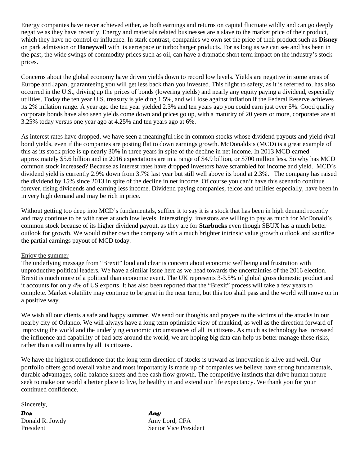Energy companies have never achieved either, as both earnings and returns on capital fluctuate wildly and can go deeply negative as they have recently. Energy and materials related businesses are a slave to the market price of their product, which they have no control or influence. In stark contrast, companies we own set the price of their product such as **Disney** on park admission or **Honeywell** with its aerospace or turbocharger products. For as long as we can see and has been in the past, the wide swings of commodity prices such as oil, can have a dramatic short term impact on the industry's stock prices.

Concerns about the global economy have driven yields down to record low levels. Yields are negative in some areas of Europe and Japan, guaranteeing you will get less back than you invested. This flight to safety, as it is referred to, has also occurred in the U.S., driving up the prices of bonds (lowering yields) and nearly any equity paying a dividend, especially utilities. Today the ten year U.S. treasury is yielding 1.5%, and will lose against inflation if the Federal Reserve achieves its 2% inflation range. A year ago the ten year yielded 2.3% and ten years ago you could earn just over 5%. Good quality corporate bonds have also seen yields come down and prices go up, with a maturity of 20 years or more, corporates are at 3.25% today versus one year ago at 4.25% and ten years ago at 6%.

As interest rates have dropped, we have seen a meaningful rise in common stocks whose dividend payouts and yield rival bond yields, even if the companies are posting flat to down earnings growth. McDonalds's (MCD) is a great example of this as its stock price is up nearly 30% in three years in spite of the decline in net income. In 2013 MCD earned approximately \$5.6 billion and in 2016 expectations are in a range of \$4.9 billion, or \$700 million less. So why has MCD common stock increased? Because as interest rates have dropped investors have scrambled for income and yield. MCD's dividend yield is currently 2.9% down from 3.7% last year but still well above its bond at 2.3%. The company has raised the dividend by 15% since 2013 in spite of the decline in net income. Of course you can't have this scenario continue forever, rising dividends and earning less income. Dividend paying companies, telcos and utilities especially, have been in in very high demand and may be rich in price.

Without getting too deep into MCD's fundamentals, suffice it to say it is a stock that has been in high demand recently and may continue to be with rates at such low levels. Interestingly, investors are willing to pay as much for McDonald's common stock because of its higher dividend payout, as they are for **Starbucks** even though SBUX has a much better outlook for growth. We would rather own the company with a much brighter intrinsic value growth outlook and sacrifice the partial earnings payout of MCD today.

## Enjoy the summer

The underlying message from "Brexit" loud and clear is concern about economic wellbeing and frustration with unproductive political leaders. We have a similar issue here as we head towards the uncertainties of the 2016 election. Brexit is much more of a political than economic event. The UK represents 3-3.5% of global gross domestic product and it accounts for only 4% of US exports. It has also been reported that the "Brexit" process will take a few years to complete. Market volatility may continue to be great in the near term, but this too shall pass and the world will move on in a positive way.

We wish all our clients a safe and happy summer. We send our thoughts and prayers to the victims of the attacks in our nearby city of Orlando. We will always have a long term optimistic view of mankind, as well as the direction forward of improving the world and the underlying economic circumstances of all its citizens. As much as technology has increased the influence and capability of bad acts around the world, we are hoping big data can help us better manage these risks, rather than a call to arms by all its citizens.

We have the highest confidence that the long term direction of stocks is upward as innovation is alive and well. Our portfolio offers good overall value and most importantly is made up of companies we believe have strong fundamentals, durable advantages, solid balance sheets and free cash flow growth. The competitive instincts that drive human nature seek to make our world a better place to live, be healthy in and extend our life expectancy. We thank you for your continued confidence.

Sincerely,

*Don Amy* Donald R. Jowdy Amy Lord, CFA

President Senior Vice President